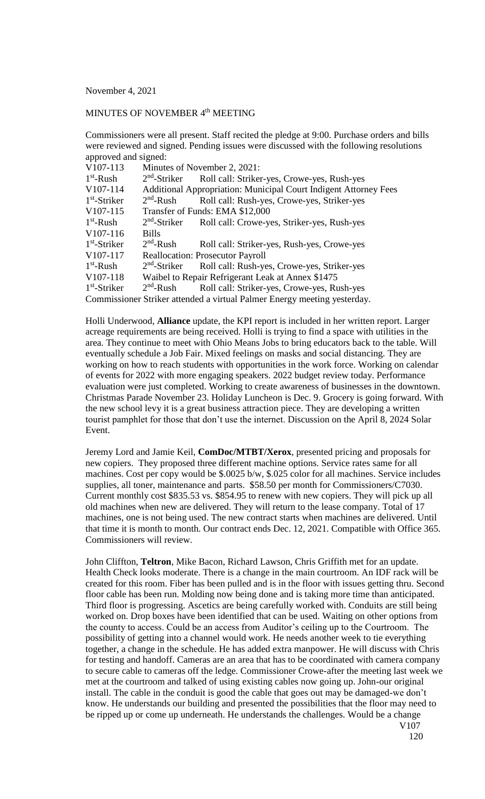November 4, 2021

## MINUTES OF NOVEMBER 4<sup>th</sup> MEETING

Commissioners were all present. Staff recited the pledge at 9:00. Purchase orders and bills were reviewed and signed. Pending issues were discussed with the following resolutions approved and signed:

| V107-113                                                                 |                                 | Minutes of November 2, 2021:                                     |  |
|--------------------------------------------------------------------------|---------------------------------|------------------------------------------------------------------|--|
| $1st$ -Rush                                                              | $2nd$ -Striker                  | Roll call: Striker-yes, Crowe-yes, Rush-yes                      |  |
| V107-114                                                                 |                                 | Additional Appropriation: Municipal Court Indigent Attorney Fees |  |
| $1st$ -Striker                                                           | $2nd$ -Rush                     | Roll call: Rush-yes, Crowe-yes, Striker-yes                      |  |
| V107-115                                                                 | Transfer of Funds: EMA \$12,000 |                                                                  |  |
| $1st$ -Rush                                                              | $2nd$ -Striker                  | Roll call: Crowe-yes, Striker-yes, Rush-yes                      |  |
| V107-116                                                                 | <b>Bills</b>                    |                                                                  |  |
| $1st$ -Striker                                                           | $2nd$ -Rush                     | Roll call: Striker-yes, Rush-yes, Crowe-yes                      |  |
| V107-117                                                                 |                                 | <b>Reallocation: Prosecutor Payroll</b>                          |  |
| $1st$ -Rush                                                              | $2nd$ -Striker                  | Roll call: Rush-yes, Crowe-yes, Striker-yes                      |  |
| V107-118                                                                 |                                 | Waibel to Repair Refrigerant Leak at Annex \$1475                |  |
| $1st$ -Striker                                                           | $2nd$ -Rush                     | Roll call: Striker-yes, Crowe-yes, Rush-yes                      |  |
| Commissioner Striker attended a virtual Palmer Energy meeting yesterday. |                                 |                                                                  |  |

Holli Underwood, **Alliance** update, the KPI report is included in her written report. Larger acreage requirements are being received. Holli is trying to find a space with utilities in the area. They continue to meet with Ohio Means Jobs to bring educators back to the table. Will eventually schedule a Job Fair. Mixed feelings on masks and social distancing. They are working on how to reach students with opportunities in the work force. Working on calendar of events for 2022 with more engaging speakers. 2022 budget review today. Performance evaluation were just completed. Working to create awareness of businesses in the downtown. Christmas Parade November 23. Holiday Luncheon is Dec. 9. Grocery is going forward. With the new school levy it is a great business attraction piece. They are developing a written tourist pamphlet for those that don't use the internet. Discussion on the April 8, 2024 Solar Event.

Jeremy Lord and Jamie Keil, **ComDoc/MTBT/Xerox**, presented pricing and proposals for new copiers. They proposed three different machine options. Service rates same for all machines. Cost per copy would be \$.0025 b/w, \$.025 color for all machines. Service includes supplies, all toner, maintenance and parts. \$58.50 per month for Commissioners/C7030. Current monthly cost \$835.53 vs. \$854.95 to renew with new copiers. They will pick up all old machines when new are delivered. They will return to the lease company. Total of 17 machines, one is not being used. The new contract starts when machines are delivered. Until that time it is month to month. Our contract ends Dec. 12, 2021. Compatible with Office 365. Commissioners will review.

John Cliffton, **Teltron**, Mike Bacon, Richard Lawson, Chris Griffith met for an update. Health Check looks moderate. There is a change in the main courtroom. An IDF rack will be created for this room. Fiber has been pulled and is in the floor with issues getting thru. Second floor cable has been run. Molding now being done and is taking more time than anticipated. Third floor is progressing. Ascetics are being carefully worked with. Conduits are still being worked on. Drop boxes have been identified that can be used. Waiting on other options from the county to access. Could be an access from Auditor's ceiling up to the Courtroom. The possibility of getting into a channel would work. He needs another week to tie everything together, a change in the schedule. He has added extra manpower. He will discuss with Chris for testing and handoff. Cameras are an area that has to be coordinated with camera company to secure cable to cameras off the ledge. Commissioner Crowe-after the meeting last week we met at the courtroom and talked of using existing cables now going up. John-our original install. The cable in the conduit is good the cable that goes out may be damaged-we don't know. He understands our building and presented the possibilities that the floor may need to be ripped up or come up underneath. He understands the challenges. Would be a change